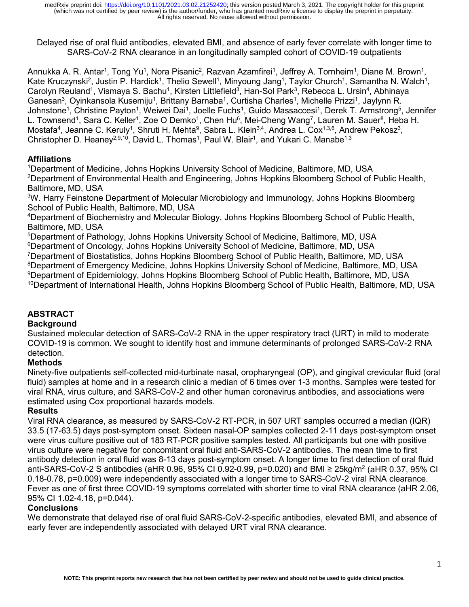Delayed rise of oral fluid antibodies, elevated BMI, and absence of early fever correlate with longer time to SARS-CoV-2 RNA clearance in an longitudinally sampled cohort of COVID-19 outpatients

Annukka A. R. Antar<sup>1</sup>, Tong Yu<sup>1</sup>, Nora Pisanic<sup>2</sup>, Razvan Azamfirei<sup>1</sup>, Jeffrey A. Tornheim<sup>1</sup>, Diane M. Brown<sup>1</sup>, Kate Kruczynski<sup>2</sup>, Justin P. Hardick<sup>1</sup>, Thelio Sewell<sup>1</sup>, Minyoung Jang<sup>1</sup>, Taylor Church<sup>1</sup>, Samantha N. Walch<sup>1</sup>, Carolyn Reuland<sup>1</sup>, Vismaya S. Bachu<sup>1</sup>, Kirsten Littlefield<sup>3</sup>, Han-Sol Park<sup>3</sup>, Rebecca L. Ursin<sup>4</sup>, Abhinaya Ganesan<sup>3</sup>, Oyinkansola Kusemiju<sup>1</sup>, Brittany Barnaba<sup>1</sup>, Curtisha Charles<sup>1</sup>, Michelle Prizzi<sup>1</sup>, Jaylynn R. Johnstone<sup>1</sup>, Christine Payton<sup>1</sup>, Weiwei Dai<sup>1</sup>, Joelle Fuchs<sup>1</sup>, Guido Massaccesi<sup>1</sup>, Derek T. Armstrong<sup>5</sup>, Jennifer L. Townsend<sup>1</sup>, Sara C. Keller<sup>1</sup>, Zoe O Demko<sup>1</sup>, Chen Hu<sup>6</sup>, Mei-Cheng Wang<sup>7</sup>, Lauren M. Sauer<sup>8</sup>, Heba H. Mostafa<sup>4</sup>, Jeanne C. Keruly<sup>1</sup>, Shruti H. Mehta<sup>9</sup>, Sabra L. Klein<sup>3,4</sup>, Andrea L. Cox<sup>1,3,6</sup>, Andrew Pekosz<sup>3</sup>, Christopher D. Heaney<sup>2,9,10</sup>, David L. Thomas<sup>1</sup>, Paul W. Blair<sup>1</sup>, and Yukari C. Manabe<sup>1,3</sup>

## **Affiliations**

1 Department of Medicine, Johns Hopkins University School of Medicine, Baltimore, MD, USA 2 Department of Environmental Health and Engineering, Johns Hopkins Bloomberg School of Public Health, Baltimore, MD, USA

<sup>3</sup>W. Harry Feinstone Department of Molecular Microbiology and Immunology, Johns Hopkins Bloomberg School of Public Health, Baltimore, MD, USA

4 Department of Biochemistry and Molecular Biology, Johns Hopkins Bloomberg School of Public Health, Baltimore, MD, USA

5 Department of Pathology, Johns Hopkins University School of Medicine, Baltimore, MD, USA

6 Department of Oncology, Johns Hopkins University School of Medicine, Baltimore, MD, USA

7 Department of Biostatistics, Johns Hopkins Bloomberg School of Public Health, Baltimore, MD, USA

 $^8$ Department of Emergency Medicine, Johns Hopkins University School of Medicine, Baltimore, MD, USA

 $^9$ Department of Epidemiology, Johns Hopkins Bloomberg School of Public Health, Baltimore, MD, USA

10Department of International Health, Johns Hopkins Bloomberg School of Public Health, Baltimore, MD, USA

# **ABSTRACT**

## **Background**

Sustained molecular detection of SARS-CoV-2 RNA in the upper respiratory tract (URT) in mild to moderate COVID-19 is common. We sought to identify host and immune determinants of prolonged SARS-CoV-2 RNA detection.

## **Methods**

Ninety-five outpatients self-collected mid-turbinate nasal, oropharyngeal (OP), and gingival crevicular fluid (oral fluid) samples at home and in a research clinic a median of 6 times over 1-3 months. Samples were tested for viral RNA, virus culture, and SARS-CoV-2 and other human coronavirus antibodies, and associations were estimated using Cox proportional hazards models.

## **Results**

Viral RNA clearance, as measured by SARS-CoV-2 RT-PCR, in 507 URT samples occurred a median (IQR) 33.5 (17-63.5) days post-symptom onset. Sixteen nasal-OP samples collected 2-11 days post-symptom onset were virus culture positive out of 183 RT-PCR positive samples tested. All participants but one with positive virus culture were negative for concomitant oral fluid anti-SARS-CoV-2 antibodies. The mean time to first antibody detection in oral fluid was 8-13 days post-symptom onset. A longer time to first detection of oral fluid anti-SARS-CoV-2 S antibodies (aHR 0.96, 95% CI 0.92-0.99, p=0.020) and BMI ≥ 25kg/m<sup>2</sup> (aHR 0.37, 95% CI 0.18-0.78, p=0.009) were independently associated with a longer time to SARS-CoV-2 viral RNA clearance. Fever as one of first three COVID-19 symptoms correlated with shorter time to viral RNA clearance (aHR 2.06, 95% CI 1.02-4.18, p=0.044).

## **Conclusions**

We demonstrate that delayed rise of oral fluid SARS-CoV-2-specific antibodies, elevated BMI, and absence of early fever are independently associated with delayed URT viral RNA clearance.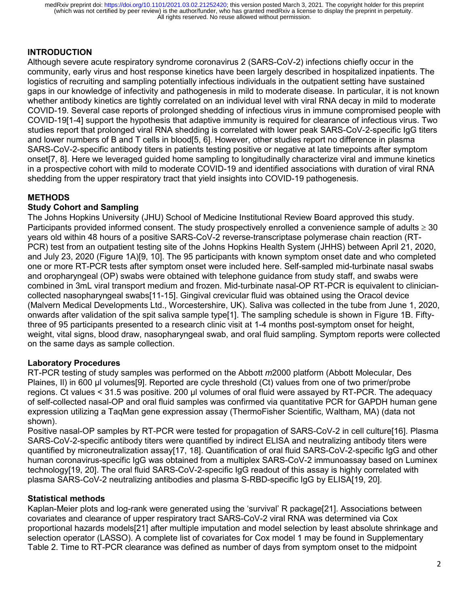### **INTRODUCTION**

Although severe acute respiratory syndrome coronavirus 2 (SARS-CoV-2) infections chiefly occur in the community, early virus and host response kinetics have been largely described in hospitalized inpatients. The logistics of recruiting and sampling potentially infectious individuals in the outpatient setting have sustained gaps in our knowledge of infectivity and pathogenesis in mild to moderate disease. In particular, it is not known whether antibody kinetics are tightly correlated on an individual level with viral RNA decay in mild to moderate COVID-19. Several case reports of prolonged shedding of infectious virus in immune compromised people with COVID-19[1-4] support the hypothesis that adaptive immunity is required for clearance of infectious virus. Two studies report that prolonged viral RNA shedding is correlated with lower peak SARS-CoV-2-specific IgG titers and lower numbers of B and T cells in blood[5, 6]. However, other studies report no difference in plasma SARS-CoV-2-specific antibody titers in patients testing positive or negative at late timepoints after symptom onset[7, 8]. Here we leveraged guided home sampling to longitudinally characterize viral and immune kinetics in a prospective cohort with mild to moderate COVID-19 and identified associations with duration of viral RNA shedding from the upper respiratory tract that yield insights into COVID-19 pathogenesis.

## **METHODS**

### **Study Cohort and Sampling**

The Johns Hopkins University (JHU) School of Medicine Institutional Review Board approved this study. Participants provided informed consent. The study prospectively enrolled a convenience sample of adults  $\geq 30$ years old within 48 hours of a positive SARS-CoV-2 reverse-transcriptase polymerase chain reaction (RT-PCR) test from an outpatient testing site of the Johns Hopkins Health System (JHHS) between April 21, 2020, and July 23, 2020 (Figure 1A)[9, 10]. The 95 participants with known symptom onset date and who completed one or more RT-PCR tests after symptom onset were included here. Self-sampled mid-turbinate nasal swabs and oropharyngeal (OP) swabs were obtained with telephone guidance from study staff, and swabs were combined in 3mL viral transport medium and frozen. Mid-turbinate nasal-OP RT-PCR is equivalent to cliniciancollected nasopharyngeal swabs[11-15]. Gingival crevicular fluid was obtained using the Oracol device (Malvern Medical Developments Ltd., Worcestershire, UK). Saliva was collected in the tube from June 1, 2020, onwards after validation of the spit saliva sample type[1]. The sampling schedule is shown in Figure 1B. Fiftythree of 95 participants presented to a research clinic visit at 1-4 months post-symptom onset for height, weight, vital signs, blood draw, nasopharyngeal swab, and oral fluid sampling. Symptom reports were collected on the same days as sample collection.

### **Laboratory Procedures**

RT-PCR testing of study samples was performed on the Abbott *m*2000 platform (Abbott Molecular, Des Plaines, II) in 600 µl volumes[9]. Reported are cycle threshold (Ct) values from one of two primer/probe regions. Ct values < 31.5 was positive. 200 µl volumes of oral fluid were assayed by RT-PCR. The adequacy of self-collected nasal-OP and oral fluid samples was confirmed via quantitative PCR for GAPDH human gene expression utilizing a TaqMan gene expression assay (ThermoFisher Scientific, Waltham, MA) (data not shown).

Positive nasal-OP samples by RT-PCR were tested for propagation of SARS-CoV-2 in cell culture[16]. Plasma SARS-CoV-2-specific antibody titers were quantified by indirect ELISA and neutralizing antibody titers were quantified by microneutralization assay[17, 18]. Quantification of oral fluid SARS-CoV-2-specific IgG and other human coronavirus-specific IgG was obtained from a multiplex SARS-CoV-2 immunoassay based on Luminex technology[19, 20]. The oral fluid SARS-CoV-2-specific IgG readout of this assay is highly correlated with plasma SARS-CoV-2 neutralizing antibodies and plasma S-RBD-specific IgG by ELISA[19, 20].

#### **Statistical methods**

Kaplan-Meier plots and log-rank were generated using the 'survival' R package[21]. Associations between covariates and clearance of upper respiratory tract SARS-CoV-2 viral RNA was determined via Cox proportional hazards models[21] after multiple imputation and model selection by least absolute shrinkage and selection operator (LASSO). A complete list of covariates for Cox model 1 may be found in Supplementary Table 2. Time to RT-PCR clearance was defined as number of days from symptom onset to the midpoint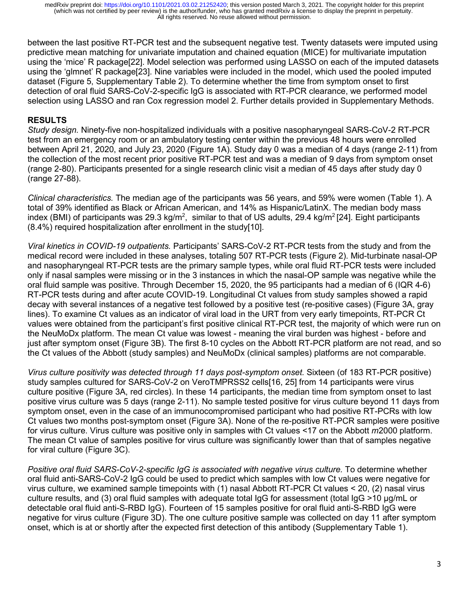between the last positive RT-PCR test and the subsequent negative test. Twenty datasets were imputed using predictive mean matching for univariate imputation and chained equation (MICE) for multivariate imputation using the 'mice' R package[22]. Model selection was performed using LASSO on each of the imputed datasets using the 'glmnet' R package[23]. Nine variables were included in the model, which used the pooled imputed dataset (Figure 5, Supplementary Table 2). To determine whether the time from symptom onset to first detection of oral fluid SARS-CoV-2-specific IgG is associated with RT-PCR clearance, we performed model selection using LASSO and ran Cox regression model 2. Further details provided in Supplementary Methods.

### **RESULTS**

*Study design.* Ninety-five non-hospitalized individuals with a positive nasopharyngeal SARS-CoV-2 RT-PCR test from an emergency room or an ambulatory testing center within the previous 48 hours were enrolled between April 21, 2020, and July 23, 2020 (Figure 1A). Study day 0 was a median of 4 days (range 2-11) from the collection of the most recent prior positive RT-PCR test and was a median of 9 days from symptom onset (range 2-80). Participants presented for a single research clinic visit a median of 45 days after study day 0 (range 27-88).

*Clinical characteristics.* The median age of the participants was 56 years, and 59% were women (Table 1). A total of 39% identified as Black or African American, and 14% as Hispanic/LatinX. The median body mass index (BMI) of participants was 29.3 kg/m²,  $\,$ similar to that of US adults, 29.4 kg/m² [24]. Eight participants (8.4%) required hospitalization after enrollment in the study[10].

*Viral kinetics in COVID-19 outpatients.* Participants' SARS-CoV-2 RT-PCR tests from the study and from the medical record were included in these analyses, totaling 507 RT-PCR tests (Figure 2). Mid-turbinate nasal-OP and nasopharyngeal RT-PCR tests are the primary sample types, while oral fluid RT-PCR tests were included only if nasal samples were missing or in the 3 instances in which the nasal-OP sample was negative while the oral fluid sample was positive. Through December 15, 2020, the 95 participants had a median of 6 (IQR 4-6) RT-PCR tests during and after acute COVID-19. Longitudinal Ct values from study samples showed a rapid decay with several instances of a negative test followed by a positive test (re-positive cases) (Figure 3A, gray lines). To examine Ct values as an indicator of viral load in the URT from very early timepoints, RT-PCR Ct values were obtained from the participant's first positive clinical RT-PCR test, the majority of which were run on the NeuMoDx platform. The mean Ct value was lowest - meaning the viral burden was highest - before and just after symptom onset (Figure 3B). The first 8-10 cycles on the Abbott RT-PCR platform are not read, and so the Ct values of the Abbott (study samples) and NeuMoDx (clinical samples) platforms are not comparable.

*Virus culture positivity was detected through 11 days post-symptom onset.* Sixteen (of 183 RT-PCR positive) study samples cultured for SARS-CoV-2 on VeroTMPRSS2 cells[16, 25] from 14 participants were virus culture positive (Figure 3A, red circles). In these 14 participants, the median time from symptom onset to last positive virus culture was 5 days (range 2-11). No sample tested positive for virus culture beyond 11 days from symptom onset, even in the case of an immunocompromised participant who had positive RT-PCRs with low Ct values two months post-symptom onset (Figure 3A). None of the re-positive RT-PCR samples were positive for virus culture. Virus culture was positive only in samples with Ct values <17 on the Abbott *m*2000 platform. The mean Ct value of samples positive for virus culture was significantly lower than that of samples negative for viral culture (Figure 3C).

*Positive oral fluid SARS-CoV-2-specific IgG is associated with negative virus culture.* To determine whether oral fluid anti-SARS-CoV-2 IgG could be used to predict which samples with low Ct values were negative for virus culture, we examined sample timepoints with (1) nasal Abbott RT-PCR Ct values < 20, (2) nasal virus culture results, and (3) oral fluid samples with adequate total IgG for assessment (total IgG >10 µg/mL or detectable oral fluid anti-S-RBD IgG). Fourteen of 15 samples positive for oral fluid anti-S-RBD IgG were negative for virus culture (Figure 3D). The one culture positive sample was collected on day 11 after symptom onset, which is at or shortly after the expected first detection of this antibody (Supplementary Table 1).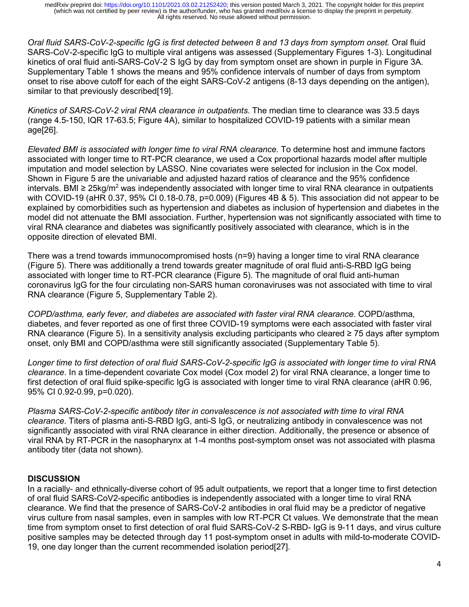*Oral fluid SARS-CoV-2-specific IgG is first detected between 8 and 13 days from symptom onset.* Oral fluid SARS-CoV-2-specific IgG to multiple viral antigens was assessed (Supplementary Figures 1-3). Longitudinal kinetics of oral fluid anti-SARS-CoV-2 S IgG by day from symptom onset are shown in purple in Figure 3A. Supplementary Table 1 shows the means and 95% confidence intervals of number of days from symptom onset to rise above cutoff for each of the eight SARS-CoV-2 antigens (8-13 days depending on the antigen), similar to that previously described[19].

*Kinetics of SARS-CoV-2 viral RNA clearance in outpatients*. The median time to clearance was 33.5 days (range 4.5-150, IQR 17-63.5; Figure 4A), similar to hospitalized COVID-19 patients with a similar mean age[26].

*Elevated BMI is associated with longer time to viral RNA clearance.* To determine host and immune factors associated with longer time to RT-PCR clearance, we used a Cox proportional hazards model after multiple imputation and model selection by LASSO. Nine covariates were selected for inclusion in the Cox model. Shown in Figure 5 are the univariable and adjusted hazard ratios of clearance and the 95% confidence intervals. BMI ≥ 25kg/m<sup>2</sup> was independently associated with longer time to viral RNA clearance in outpatients with COVID-19 (aHR 0.37, 95% CI 0.18-0.78, p=0.009) (Figures 4B & 5). This association did not appear to be explained by comorbidities such as hypertension and diabetes as inclusion of hypertension and diabetes in the model did not attenuate the BMI association. Further, hypertension was not significantly associated with time to viral RNA clearance and diabetes was significantly positively associated with clearance, which is in the opposite direction of elevated BMI.

There was a trend towards immunocompromised hosts (n=9) having a longer time to viral RNA clearance (Figure 5). There was additionally a trend towards greater magnitude of oral fluid anti-S-RBD IgG being associated with longer time to RT-PCR clearance (Figure 5). The magnitude of oral fluid anti-human coronavirus IgG for the four circulating non-SARS human coronaviruses was not associated with time to viral RNA clearance (Figure 5, Supplementary Table 2).

*COPD/asthma, early fever, and diabetes are associated with faster viral RNA clearance*. COPD/asthma, diabetes, and fever reported as one of first three COVID-19 symptoms were each associated with faster viral RNA clearance (Figure 5). In a sensitivity analysis excluding participants who cleared ≥ 75 days after symptom onset, only BMI and COPD/asthma were still significantly associated (Supplementary Table 5).

*Longer time to first detection of oral fluid SARS-CoV-2-specific IgG is associated with longer time to viral RNA clearance*. In a time-dependent covariate Cox model (Cox model 2) for viral RNA clearance, a longer time to first detection of oral fluid spike-specific IgG is associated with longer time to viral RNA clearance (aHR 0.96, 95% CI 0.92-0.99, p=0.020).

*Plasma SARS-CoV-2-specific antibody titer in convalescence is not associated with time to viral RNA clearance.* Titers of plasma anti-S-RBD IgG, anti-S IgG, or neutralizing antibody in convalescence was not significantly associated with viral RNA clearance in either direction. Additionally, the presence or absence of viral RNA by RT-PCR in the nasopharynx at 1-4 months post-symptom onset was not associated with plasma antibody titer (data not shown).

## **DISCUSSION**

In a racially- and ethnically-diverse cohort of 95 adult outpatients, we report that a longer time to first detection of oral fluid SARS-CoV2-specific antibodies is independently associated with a longer time to viral RNA clearance. We find that the presence of SARS-CoV-2 antibodies in oral fluid may be a predictor of negative virus culture from nasal samples, even in samples with low RT-PCR Ct values. We demonstrate that the mean time from symptom onset to first detection of oral fluid SARS-CoV-2 S-RBD- IgG is 9-11 days, and virus culture positive samples may be detected through day 11 post-symptom onset in adults with mild-to-moderate COVID-19, one day longer than the current recommended isolation period[27].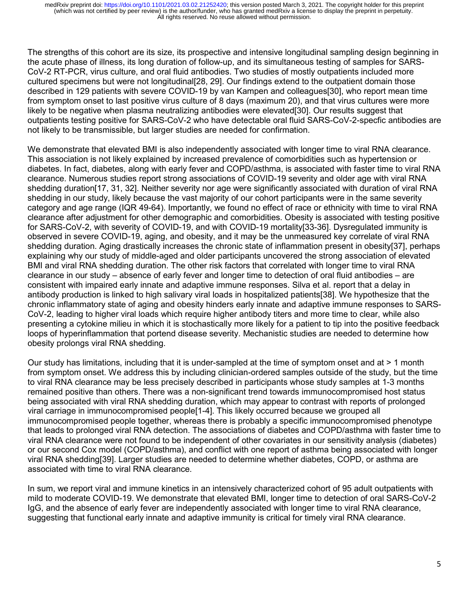The strengths of this cohort are its size, its prospective and intensive longitudinal sampling design beginning in the acute phase of illness, its long duration of follow-up, and its simultaneous testing of samples for SARS-CoV-2 RT-PCR, virus culture, and oral fluid antibodies. Two studies of mostly outpatients included more cultured specimens but were not longitudinal[28, 29]. Our findings extend to the outpatient domain those described in 129 patients with severe COVID-19 by van Kampen and colleagues[30], who report mean time from symptom onset to last positive virus culture of 8 days (maximum 20), and that virus cultures were more likely to be negative when plasma neutralizing antibodies were elevated[30]. Our results suggest that outpatients testing positive for SARS-CoV-2 who have detectable oral fluid SARS-CoV-2-specfic antibodies are not likely to be transmissible, but larger studies are needed for confirmation.

We demonstrate that elevated BMI is also independently associated with longer time to viral RNA clearance. This association is not likely explained by increased prevalence of comorbidities such as hypertension or diabetes. In fact, diabetes, along with early fever and COPD/asthma, is associated with faster time to viral RNA clearance. Numerous studies report strong associations of COVID-19 severity and older age with viral RNA shedding duration[17, 31, 32]. Neither severity nor age were significantly associated with duration of viral RNA shedding in our study, likely because the vast majority of our cohort participants were in the same severity category and age range (IQR 49-64). Importantly, we found no effect of race or ethnicity with time to viral RNA clearance after adjustment for other demographic and comorbidities. Obesity is associated with testing positive for SARS-CoV-2, with severity of COVID-19, and with COVID-19 mortality[33-36]. Dysregulated immunity is observed in severe COVID-19, aging, and obesity, and it may be the unmeasured key correlate of viral RNA shedding duration. Aging drastically increases the chronic state of inflammation present in obesity[37], perhaps explaining why our study of middle-aged and older participants uncovered the strong association of elevated BMI and viral RNA shedding duration. The other risk factors that correlated with longer time to viral RNA clearance in our study – absence of early fever and longer time to detection of oral fluid antibodies – are consistent with impaired early innate and adaptive immune responses. Silva et al. report that a delay in antibody production is linked to high salivary viral loads in hospitalized patients[38]. We hypothesize that the chronic inflammatory state of aging and obesity hinders early innate and adaptive immune responses to SARS-CoV-2, leading to higher viral loads which require higher antibody titers and more time to clear, while also presenting a cytokine milieu in which it is stochastically more likely for a patient to tip into the positive feedback loops of hyperinflammation that portend disease severity. Mechanistic studies are needed to determine how obesity prolongs viral RNA shedding.

Our study has limitations, including that it is under-sampled at the time of symptom onset and at > 1 month from symptom onset. We address this by including clinician-ordered samples outside of the study, but the time to viral RNA clearance may be less precisely described in participants whose study samples at 1-3 months remained positive than others. There was a non-significant trend towards immunocompromised host status being associated with viral RNA shedding duration, which may appear to contrast with reports of prolonged viral carriage in immunocompromised people[1-4]. This likely occurred because we grouped all immunocompromised people together, whereas there is probably a specific immunocompromised phenotype that leads to prolonged viral RNA detection. The associations of diabetes and COPD/asthma with faster time to viral RNA clearance were not found to be independent of other covariates in our sensitivity analysis (diabetes) or our second Cox model (COPD/asthma), and conflict with one report of asthma being associated with longer viral RNA shedding[39]. Larger studies are needed to determine whether diabetes, COPD, or asthma are associated with time to viral RNA clearance.

In sum, we report viral and immune kinetics in an intensively characterized cohort of 95 adult outpatients with mild to moderate COVID-19. We demonstrate that elevated BMI, longer time to detection of oral SARS-CoV-2 IgG, and the absence of early fever are independently associated with longer time to viral RNA clearance, suggesting that functional early innate and adaptive immunity is critical for timely viral RNA clearance.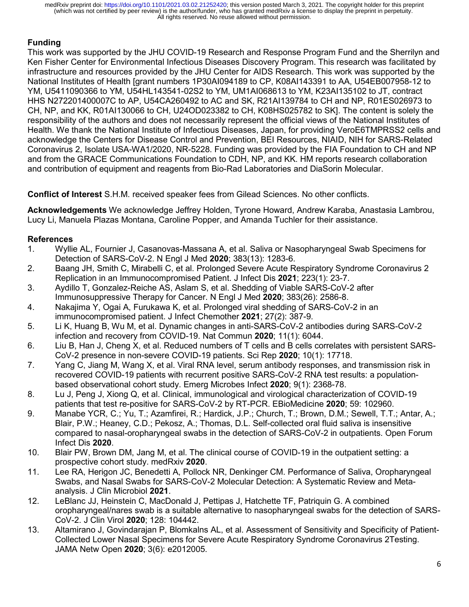# **Funding**

This work was supported by the JHU COVID-19 Research and Response Program Fund and the Sherrilyn and Ken Fisher Center for Environmental Infectious Diseases Discovery Program. This research was facilitated by infrastructure and resources provided by the JHU Center for AIDS Research. This work was supported by the National Institutes of Health [grant numbers 1P30AI094189 to CP, K08AI143391 to AA, U54EB007958-12 to YM, U5411090366 to YM, U54HL143541-02S2 to YM, UM1AI068613 to YM, K23AI135102 to JT, contract HHS N272201400007C to AP, U54CA260492 to AC and SK, R21AI139784 to CH and NP, R01ES026973 to CH, NP, and KK, R01AI130066 to CH, U24OD023382 to CH, K08HS025782 to SK]. The content is solely the responsibility of the authors and does not necessarily represent the official views of the National Institutes of Health. We thank the National Institute of Infectious Diseases, Japan, for providing VeroE6TMPRSS2 cells and acknowledge the Centers for Disease Control and Prevention, BEI Resources, NIAID, NIH for SARS-Related Coronavirus 2, Isolate USA-WA1/2020, NR-5228. Funding was provided by the FIA Foundation to CH and NP and from the GRACE Communications Foundation to CDH, NP, and KK. HM reports research collaboration and contribution of equipment and reagents from Bio-Rad Laboratories and DiaSorin Molecular.

**Conflict of Interest** S.H.M. received speaker fees from Gilead Sciences. No other conflicts.

**Acknowledgements** We acknowledge Jeffrey Holden, Tyrone Howard, Andrew Karaba, Anastasia Lambrou, Lucy Li, Manuela Plazas Montana, Caroline Popper, and Amanda Tuchler for their assistance.

# **References**

- 1. Wyllie AL, Fournier J, Casanovas-Massana A, et al. Saliva or Nasopharyngeal Swab Specimens for Detection of SARS-CoV-2. N Engl J Med **2020**; 383(13): 1283-6.
- 2. Baang JH, Smith C, Mirabelli C, et al. Prolonged Severe Acute Respiratory Syndrome Coronavirus 2 Replication in an Immunocompromised Patient. J Infect Dis **2021**; 223(1): 23-7.
- 3. Aydillo T, Gonzalez-Reiche AS, Aslam S, et al. Shedding of Viable SARS-CoV-2 after Immunosuppressive Therapy for Cancer. N Engl J Med **2020**; 383(26): 2586-8.
- 4. Nakajima Y, Ogai A, Furukawa K, et al. Prolonged viral shedding of SARS-CoV-2 in an immunocompromised patient. J Infect Chemother **2021**; 27(2): 387-9.
- 5. Li K, Huang B, Wu M, et al. Dynamic changes in anti-SARS-CoV-2 antibodies during SARS-CoV-2 infection and recovery from COVID-19. Nat Commun **2020**; 11(1): 6044.
- 6. Liu B, Han J, Cheng X, et al. Reduced numbers of T cells and B cells correlates with persistent SARS-CoV-2 presence in non-severe COVID-19 patients. Sci Rep **2020**; 10(1): 17718.
- 7. Yang C, Jiang M, Wang X, et al. Viral RNA level, serum antibody responses, and transmission risk in recovered COVID-19 patients with recurrent positive SARS-CoV-2 RNA test results: a populationbased observational cohort study. Emerg Microbes Infect **2020**; 9(1): 2368-78.
- 8. Lu J, Peng J, Xiong Q, et al. Clinical, immunological and virological characterization of COVID-19 patients that test re-positive for SARS-CoV-2 by RT-PCR. EBioMedicine **2020**; 59: 102960.
- 9. Manabe YCR, C.; Yu, T.; Azamfirei, R.; Hardick, J.P.; Church, T.; Brown, D.M.; Sewell, T.T.; Antar, A.; Blair, P.W.; Heaney, C.D.; Pekosz, A.; Thomas, D.L. Self-collected oral fluid saliva is insensitive compared to nasal-oropharyngeal swabs in the detection of SARS-CoV-2 in outpatients. Open Forum Infect Dis **2020**.
- 10. Blair PW, Brown DM, Jang M, et al. The clinical course of COVID-19 in the outpatient setting: a prospective cohort study. medRxiv **2020**.
- 11. Lee RA, Herigon JC, Benedetti A, Pollock NR, Denkinger CM. Performance of Saliva, Oropharyngeal Swabs, and Nasal Swabs for SARS-CoV-2 Molecular Detection: A Systematic Review and Metaanalysis. J Clin Microbiol **2021**.
- 12. LeBlanc JJ, Heinstein C, MacDonald J, Pettipas J, Hatchette TF, Patriquin G. A combined oropharyngeal/nares swab is a suitable alternative to nasopharyngeal swabs for the detection of SARS-CoV-2. J Clin Virol **2020**; 128: 104442.
- 13. Altamirano J, Govindarajan P, Blomkalns AL, et al. Assessment of Sensitivity and Specificity of Patient-Collected Lower Nasal Specimens for Severe Acute Respiratory Syndrome Coronavirus 2Testing. JAMA Netw Open **2020**; 3(6): e2012005.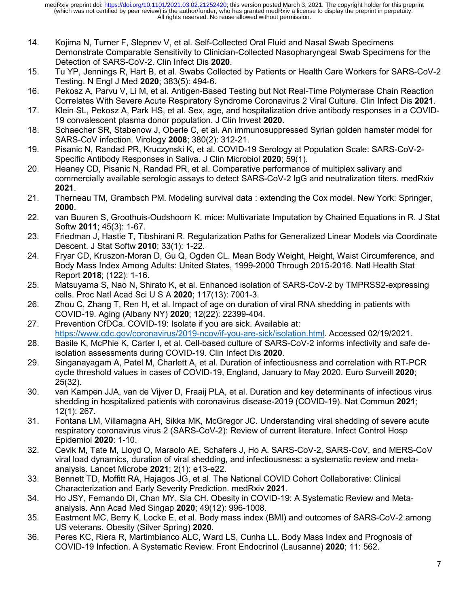- 14. Kojima N, Turner F, Slepnev V, et al. Self-Collected Oral Fluid and Nasal Swab Specimens Demonstrate Comparable Sensitivity to Clinician-Collected Nasopharyngeal Swab Specimens for the Detection of SARS-CoV-2. Clin Infect Dis **2020**.
- 15. Tu YP, Jennings R, Hart B, et al. Swabs Collected by Patients or Health Care Workers for SARS-CoV-2 Testing. N Engl J Med **2020**; 383(5): 494-6.
- 16. Pekosz A, Parvu V, Li M, et al. Antigen-Based Testing but Not Real-Time Polymerase Chain Reaction Correlates With Severe Acute Respiratory Syndrome Coronavirus 2 Viral Culture. Clin Infect Dis **2021**.
- 17. Klein SL, Pekosz A, Park HS, et al. Sex, age, and hospitalization drive antibody responses in a COVID-19 convalescent plasma donor population. J Clin Invest **2020**.
- 18. Schaecher SR, Stabenow J, Oberle C, et al. An immunosuppressed Syrian golden hamster model for SARS-CoV infection. Virology **2008**; 380(2): 312-21.
- 19. Pisanic N, Randad PR, Kruczynski K, et al. COVID-19 Serology at Population Scale: SARS-CoV-2- Specific Antibody Responses in Saliva. J Clin Microbiol **2020**; 59(1).
- 20. Heaney CD, Pisanic N, Randad PR, et al. Comparative performance of multiplex salivary and commercially available serologic assays to detect SARS-CoV-2 IgG and neutralization titers. medRxiv **2021**.
- 21. Therneau TM, Grambsch PM. Modeling survival data : extending the Cox model. New York: Springer, **2000**.
- 22. van Buuren S, Groothuis-Oudshoorn K. mice: Multivariate Imputation by Chained Equations in R. J Stat Softw **2011**; 45(3): 1-67.
- 23. Friedman J, Hastie T, Tibshirani R. Regularization Paths for Generalized Linear Models via Coordinate Descent. J Stat Softw **2010**; 33(1): 1-22.
- 24. Fryar CD, Kruszon-Moran D, Gu Q, Ogden CL. Mean Body Weight, Height, Waist Circumference, and Body Mass Index Among Adults: United States, 1999-2000 Through 2015-2016. Natl Health Stat Report **2018**; (122): 1-16.
- 25. Matsuyama S, Nao N, Shirato K, et al. Enhanced isolation of SARS-CoV-2 by TMPRSS2-expressing cells. Proc Natl Acad Sci U S A **2020**; 117(13): 7001-3.
- 26. Zhou C, Zhang T, Ren H, et al. Impact of age on duration of viral RNA shedding in patients with COVID-19. Aging (Albany NY) **2020**; 12(22): 22399-404.
- 27. Prevention CfDCa. COVID-19: Isolate if you are sick. Available at: [https://www.cdc.gov/coronavirus/2019](https://www.cdc.gov/coronavirus/2019-ncov/if-you-are-sick/isolation.html)-ncov/if-you-are-sick/isolation.html. Accessed 02/19/2021.
- 28. Basile K, McPhie K, Carter I, et al. Cell-based culture of SARS-CoV-2 informs infectivity and safe deisolation assessments during COVID-19. Clin Infect Dis **2020**.
- 29. Singanayagam A, Patel M, Charlett A, et al. Duration of infectiousness and correlation with RT-PCR cycle threshold values in cases of COVID-19, England, January to May 2020. Euro Surveill **2020**; 25(32).
- 30. van Kampen JJA, van de Vijver D, Fraaij PLA, et al. Duration and key determinants of infectious virus shedding in hospitalized patients with coronavirus disease-2019 (COVID-19). Nat Commun **2021**; 12(1): 267.
- 31. Fontana LM, Villamagna AH, Sikka MK, McGregor JC. Understanding viral shedding of severe acute respiratory coronavirus virus 2 (SARS-CoV-2): Review of current literature. Infect Control Hosp Epidemiol **2020**: 1-10.
- 32. Cevik M, Tate M, Lloyd O, Maraolo AE, Schafers J, Ho A. SARS-CoV-2, SARS-CoV, and MERS-CoV viral load dynamics, duration of viral shedding, and infectiousness: a systematic review and metaanalysis. Lancet Microbe **2021**; 2(1): e13-e22.
- 33. Bennett TD, Moffitt RA, Hajagos JG, et al. The National COVID Cohort Collaborative: Clinical Characterization and Early Severity Prediction. medRxiv **2021**.
- 34. Ho JSY, Fernando DI, Chan MY, Sia CH. Obesity in COVID-19: A Systematic Review and Metaanalysis. Ann Acad Med Singap **2020**; 49(12): 996-1008.
- 35. Eastment MC, Berry K, Locke E, et al. Body mass index (BMI) and outcomes of SARS-CoV-2 among US veterans. Obesity (Silver Spring) **2020**.
- 36. Peres KC, Riera R, Martimbianco ALC, Ward LS, Cunha LL. Body Mass Index and Prognosis of COVID-19 Infection. A Systematic Review. Front Endocrinol (Lausanne) **2020**; 11: 562.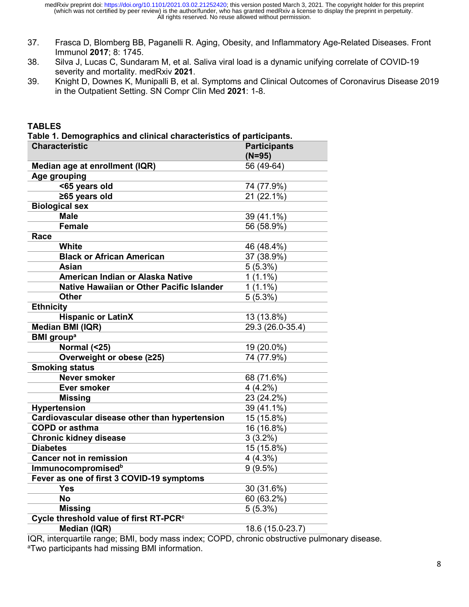- 37. Frasca D, Blomberg BB, Paganelli R. Aging, Obesity, and Inflammatory Age-Related Diseases. Front Immunol **2017**; 8: 1745.
- 38. Silva J, Lucas C, Sundaram M, et al. Saliva viral load is a dynamic unifying correlate of COVID-19 severity and mortality. medRxiv **2021**.
- 39. Knight D, Downes K, Munipalli B, et al. Symptoms and Clinical Outcomes of Coronavirus Disease 2019 in the Outpatient Setting. SN Compr Clin Med **2021**: 1-8.

| <b>Characteristic</b>                              | <b>Participants</b><br>$(N=95)$ |
|----------------------------------------------------|---------------------------------|
| Median age at enrollment (IQR)                     | 56 (49-64)                      |
| Age grouping                                       |                                 |
| <65 years old                                      | 74 (77.9%)                      |
| ≥65 years old                                      | 21 (22.1%)                      |
| <b>Biological sex</b>                              |                                 |
| <b>Male</b>                                        | 39 (41.1%)                      |
| <b>Female</b>                                      | 56 (58.9%)                      |
| Race                                               |                                 |
| <b>White</b>                                       | 46 (48.4%)                      |
| <b>Black or African American</b>                   | 37 (38.9%)                      |
| <b>Asian</b>                                       | 5(5.3%)                         |
| American Indian or Alaska Native                   | $1(1.1\%)$                      |
| Native Hawaiian or Other Pacific Islander          | $1(1.1\%)$                      |
| <b>Other</b>                                       | 5(5.3%)                         |
| <b>Ethnicity</b>                                   |                                 |
| <b>Hispanic or LatinX</b>                          | 13 (13.8%)                      |
| Median BMI (IQR)                                   | 29.3 (26.0-35.4)                |
| <b>BMI</b> group <sup>a</sup>                      |                                 |
| Normal (<25)                                       | 19 (20.0%)                      |
| Overweight or obese (≥25)                          | 74 (77.9%)                      |
| <b>Smoking status</b>                              |                                 |
| <b>Never smoker</b>                                | 68 (71.6%)                      |
| <b>Ever smoker</b>                                 | $4(4.2\%)$                      |
| <b>Missing</b>                                     | 23 (24.2%)                      |
| <b>Hypertension</b>                                | 39 (41.1%)                      |
| Cardiovascular disease other than hypertension     | 15 (15.8%)                      |
| <b>COPD or asthma</b>                              | 16 (16.8%)                      |
| <b>Chronic kidney disease</b>                      | $3(3.2\%)$                      |
| <b>Diabetes</b>                                    | 15 (15.8%)                      |
| <b>Cancer not in remission</b>                     | 4 (4.3%)                        |
| <b>Immunocompromisedb</b>                          | 9(9.5%)                         |
| Fever as one of first 3 COVID-19 symptoms          |                                 |
| <b>Yes</b>                                         | 30 (31.6%)                      |
| <b>No</b>                                          | 60 (63.2%)                      |
| <b>Missing</b>                                     | $5(5.3\%)$                      |
| Cycle threshold value of first RT-PCR <sup>c</sup> |                                 |
| <b>Median (IQR)</b>                                | 18.6 (15.0-23.7)                |

IQR, interquartile range; BMI, body mass index; COPD, chronic obstructive pulmonary disease. a Two participants had missing BMI information.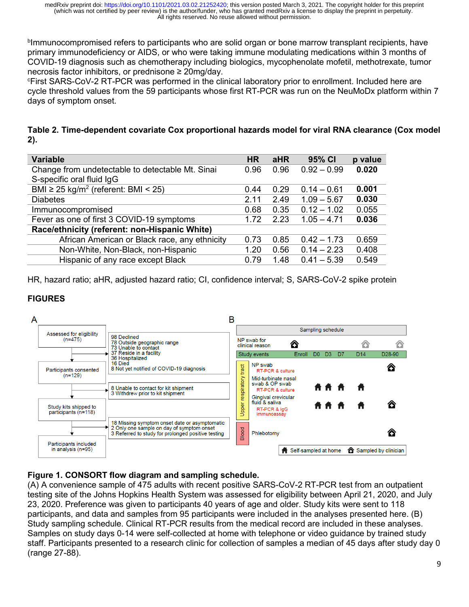b Immunocompromised refers to participants who are solid organ or bone marrow transplant recipients, have primary immunodeficiency or AIDS, or who were taking immune modulating medications within 3 months of COVID-19 diagnosis such as chemotherapy including biologics, mycophenolate mofetil, methotrexate, tumor necrosis factor inhibitors, or prednisone ≥ 20mg/day.

c First SARS-CoV-2 RT-PCR was performed in the clinical laboratory prior to enrollment. Included here are cycle threshold values from the 59 participants whose first RT-PCR was run on the NeuMoDx platform within 7 days of symptom onset.

**Table 2. Time-dependent covariate Cox proportional hazards model for viral RNA clearance (Cox model 2).**

| <b>Variable</b>                                      | <b>HR</b> | <b>aHR</b> | 95% CI        | p value |
|------------------------------------------------------|-----------|------------|---------------|---------|
| Change from undetectable to detectable Mt. Sinai     | 0.96      | 0.96       | $0.92 - 0.99$ | 0.020   |
| S-specific oral fluid IgG                            |           |            |               |         |
| BMI $\geq$ 25 kg/m <sup>2</sup> (referent: BMI < 25) | 0.44      | 0.29       | $0.14 - 0.61$ | 0.001   |
| <b>Diabetes</b>                                      | 2.11      | 2.49       | $1.09 - 5.67$ | 0.030   |
| Immunocompromised                                    | 0.68      | 0.35       | $0.12 - 1.02$ | 0.055   |
| Fever as one of first 3 COVID-19 symptoms            | 1.72      | 2.23       | $1.05 - 4.71$ | 0.036   |
| Race/ethnicity (referent: non-Hispanic White)        |           |            |               |         |
| African American or Black race, any ethnicity        | 0.73      | 0.85       | $0.42 - 1.73$ | 0.659   |
| Non-White, Non-Black, non-Hispanic                   | 1.20      | 0.56       | $0.14 - 2.23$ | 0.408   |
| Hispanic of any race except Black                    | 0.79      | 1.48       | $0.41 - 5.39$ | 0.549   |

HR, hazard ratio; aHR, adjusted hazard ratio; CI, confidence interval; S, SARS-CoV-2 spike protein

## **FIGURES**



### **Figure 1. CONSORT flow diagram and sampling schedule.**

(A) A convenience sample of 475 adults with recent positive SARS-CoV-2 RT-PCR test from an outpatient testing site of the Johns Hopkins Health System was assessed for eligibility between April 21, 2020, and July 23, 2020. Preference was given to participants 40 years of age and older. Study kits were sent to 118 participants, and data and samples from 95 participants were included in the analyses presented here. (B) Study sampling schedule. Clinical RT-PCR results from the medical record are included in these analyses. Samples on study days 0-14 were self-collected at home with telephone or video guidance by trained study staff. Participants presented to a research clinic for collection of samples a median of 45 days after study day 0 (range 27-88).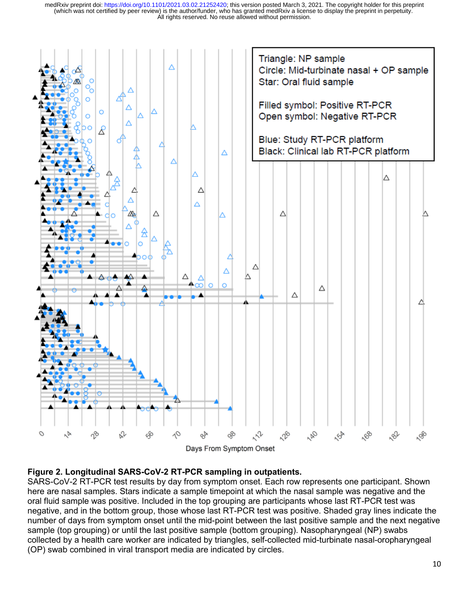

### **Figure 2. Longitudinal SARS-CoV-2 RT-PCR sampling in outpatients.**

SARS-CoV-2 RT-PCR test results by day from symptom onset. Each row represents one participant. Shown here are nasal samples. Stars indicate a sample timepoint at which the nasal sample was negative and the oral fluid sample was positive. Included in the top grouping are participants whose last RT-PCR test was negative, and in the bottom group, those whose last RT-PCR test was positive. Shaded gray lines indicate the number of days from symptom onset until the mid-point between the last positive sample and the next negative sample (top grouping) or until the last positive sample (bottom grouping). Nasopharyngeal (NP) swabs collected by a health care worker are indicated by triangles, self-collected mid-turbinate nasal-oropharyngeal (OP) swab combined in viral transport media are indicated by circles.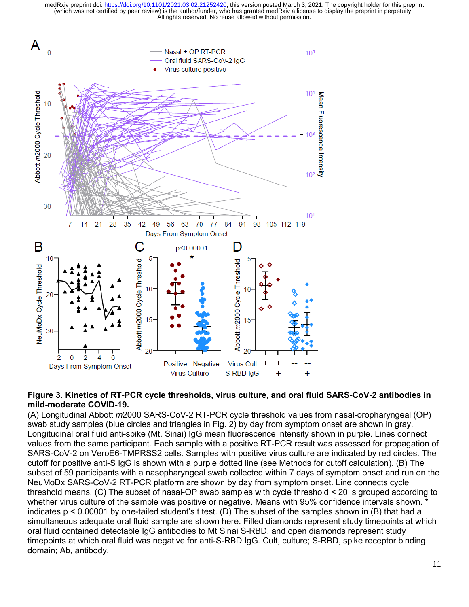All rights reserved. No reuse allowed without permission. (which was not certified by peer review) is the author/funder, who has granted medRxiv a license to display the preprint in perpetuity. medRxiv preprint doi: [https://doi.org/10.1101/2021.03.02.21252420;](https://doi.org/10.1101/2021.03.02.21252420) this version posted March 3, 2021. The copyright holder for this preprint



#### **Figure 3. Kinetics of RT-PCR cycle thresholds, virus culture, and oral fluid SARS-CoV-2 antibodies in mild-moderate COVID-19.**

(A) Longitudinal Abbott *m*2000 SARS-CoV-2 RT-PCR cycle threshold values from nasal-oropharyngeal (OP) swab study samples (blue circles and triangles in Fig. 2) by day from symptom onset are shown in gray. Longitudinal oral fluid anti-spike (Mt. Sinai) IgG mean fluorescence intensity shown in purple. Lines connect values from the same participant. Each sample with a positive RT-PCR result was assessed for propagation of SARS-CoV-2 on VeroE6-TMPRSS2 cells. Samples with positive virus culture are indicated by red circles. The cutoff for positive anti-S IgG is shown with a purple dotted line (see Methods for cutoff calculation). (B) The subset of 59 participants with a nasopharyngeal swab collected within 7 days of symptom onset and run on the NeuMoDx SARS-CoV-2 RT-PCR platform are shown by day from symptom onset. Line connects cycle threshold means. (C) The subset of nasal-OP swab samples with cycle threshold < 20 is grouped according to whether virus culture of the sample was positive or negative. Means with 95% confidence intervals shown. <sup>\*</sup> indicates p < 0.00001 by one-tailed student's t test. (D) The subset of the samples shown in (B) that had a simultaneous adequate oral fluid sample are shown here. Filled diamonds represent study timepoints at which oral fluid contained detectable IgG antibodies to Mt Sinai S-RBD, and open diamonds represent study timepoints at which oral fluid was negative for anti-S-RBD IgG. Cult, culture; S-RBD, spike receptor binding domain; Ab, antibody.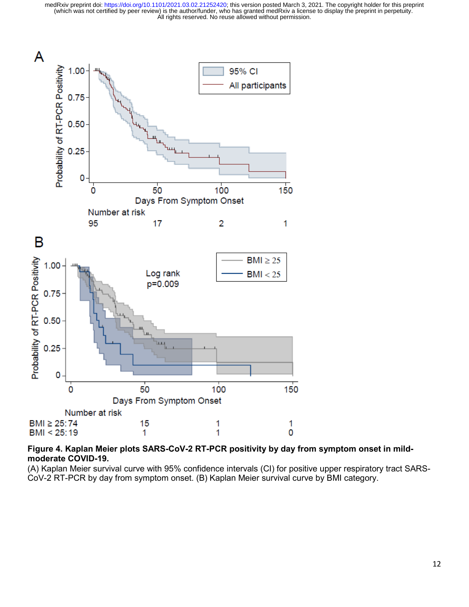

## **Figure 4. Kaplan Meier plots SARS-CoV-2 RT-PCR positivity by day from symptom onset in mildmoderate COVID-19.**

(A) Kaplan Meier survival curve with 95% confidence intervals (CI) for positive upper respiratory tract SARS-CoV-2 RT-PCR by day from symptom onset. (B) Kaplan Meier survival curve by BMI category.